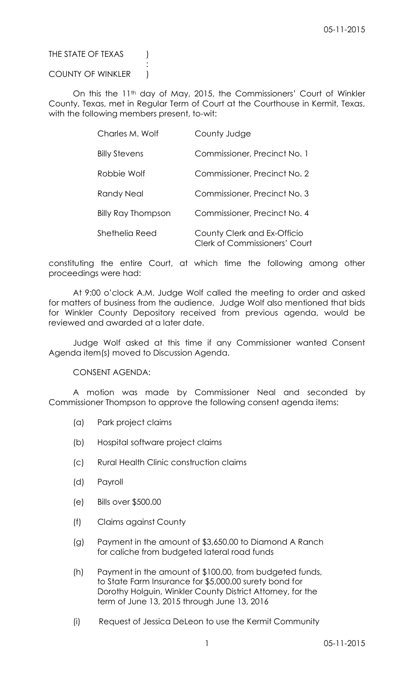## THE STATE OF TEXAS (

## COUNTY OF WINKLER )

:

On this the 11<sup>th</sup> day of May, 2015, the Commissioners' Court of Winkler County, Texas, met in Regular Term of Court at the Courthouse in Kermit, Texas, with the following members present, to-wit:

| Charles M. Wolf           | County Judge                                                        |
|---------------------------|---------------------------------------------------------------------|
| <b>Billy Stevens</b>      | Commissioner, Precinct No. 1                                        |
| Robbie Wolf               | Commissioner, Precinct No. 2                                        |
| <b>Randy Neal</b>         | Commissioner, Precinct No. 3                                        |
| <b>Billy Ray Thompson</b> | Commissioner, Precinct No. 4                                        |
| Shethelia Reed            | County Clerk and Ex-Officio<br><b>Clerk of Commissioners' Court</b> |

constituting the entire Court, at which time the following among other proceedings were had:

At 9:00 o'clock A.M. Judge Wolf called the meeting to order and asked for matters of business from the audience. Judge Wolf also mentioned that bids for Winkler County Depository received from previous agenda, would be reviewed and awarded at a later date.

Judge Wolf asked at this time if any Commissioner wanted Consent Agenda item(s) moved to Discussion Agenda.

## CONSENT AGENDA:

A motion was made by Commissioner Neal and seconded by Commissioner Thompson to approve the following consent agenda items:

- (a) Park project claims
- (b) Hospital software project claims
- (c) Rural Health Clinic construction claims
- (d) Payroll
- (e) Bills over \$500.00
- (f) Claims against County
- (g) Payment in the amount of \$3,650.00 to Diamond A Ranch for caliche from budgeted lateral road funds
- (h) Payment in the amount of \$100.00, from budgeted funds, to State Farm Insurance for \$5,000.00 surety bond for Dorothy Holguin, Winkler County District Attorney, for the term of June 13, 2015 through June 13, 2016
- (i) Request of Jessica DeLeon to use the Kermit Community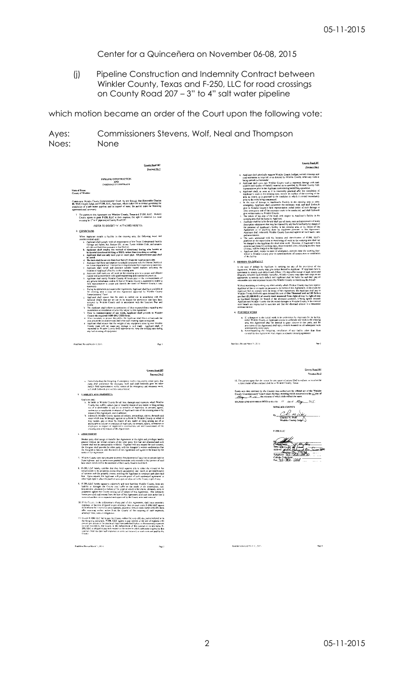Center for a Quinceñera on November 06-08, 2015

(j) Pipeline Construction and Indemnity Contract between Winkler County, Texas and F-250, LLC for road crossings on County Road 207 – 3" to 4" salt water pipeline

which motion became an order of the Court upon the following vote:

| Ayes: | Commissioners Stevens, Wolf, Neal and Thompson |
|-------|------------------------------------------------|
| Noes: | <b>None</b>                                    |

| County Road 207<br>Procinct No.2                                                                                                                                                                                                                                                                                                                                                                                                                                                                                                                 | Connty Read 207<br>Precinct No.2                                                                                                                                                                                                                                                                                                                                                                                                               |
|--------------------------------------------------------------------------------------------------------------------------------------------------------------------------------------------------------------------------------------------------------------------------------------------------------------------------------------------------------------------------------------------------------------------------------------------------------------------------------------------------------------------------------------------------|------------------------------------------------------------------------------------------------------------------------------------------------------------------------------------------------------------------------------------------------------------------------------------------------------------------------------------------------------------------------------------------------------------------------------------------------|
| <b>FIPELINE CONSTRUCTION</b>                                                                                                                                                                                                                                                                                                                                                                                                                                                                                                                     | o. Applicant shall physically support Winkler County bridges, culvart crossings and<br>coad externents as required, or as directed by Winkler County, while any work is                                                                                                                                                                                                                                                                        |
| AND<br>INDEMNITY CONTRACT                                                                                                                                                                                                                                                                                                                                                                                                                                                                                                                        | being carried out hereunder<br>Applicant shell cover any Winkler County road in easement damage with such quantity and quality of backfill muterial as is specified by Winkler County field                                                                                                                                                                                                                                                    |
| <b>State of Texas</b><br>County of Winkler                                                                                                                                                                                                                                                                                                                                                                                                                                                                                                       | representative prior to the Applican commencing backfilling operations.<br>q Applicant shall, as soon as it is reasonably practical after the completion of<br>Applicant's work in the crossing area, restore the surface of the crossing of the                                                                                                                                                                                               |
| Cames now Winkler County Commissioners' Court, by and through The Ronorable Charles<br>M. Welf, County Judge, and F-256, LLC, Applicant, which makes this a contract governing the                                                                                                                                                                                                                                                                                                                                                               | grea as closely as is practical to the condution in which it existed immediately<br>prior to the work being commenced.<br>In the case of damage to Applicant's Facility in the crossing area or other<br>emergency, Applicant shall commence the necessary work and shall forthwith                                                                                                                                                            |
| installation of a salt water pipeline, and in support of same, the parties make the following<br>agreemonts and coverants<br>The parties to this Agreement are Winkler County, Texas and F-250, LLC. Winkler                                                                                                                                                                                                                                                                                                                                     | give to Winkler County's field representative verbal notice of such damage or<br>other emergency and of the necessary work to be conducted, and shall forthwith<br>give written notice to Winkler County.<br>c. The whole of the cost of the work with respect to Applicant's facility in the                                                                                                                                                  |
| County agrees to grant F-250, LLC at their expense, the right to construct (i.e. read<br>crossing for 3" to 4" pipeline) at County Road 207:<br>(REFER TO EXHIBIT "A" A ITACHED HERETO)                                                                                                                                                                                                                                                                                                                                                          | crossing area shall be bome by Applicant.<br>Applicant shall be liable for and shall pay all taxes, cares and assessments of every<br>description whatsoever that may be imposed by any lawful authority by reason of<br>the presence of Applicant's facility in the crossing area, or by reason of this                                                                                                                                       |
| 2. CONDITIONS<br>When Applicant installs a Facility in the onysing area, the following lerius and                                                                                                                                                                                                                                                                                                                                                                                                                                                | Agreement or of saything done by Applicant pursuant to this Agreement<br>Applicant shall indensnify Winkler County from and against all such taxes, rates<br>and assessments.                                                                                                                                                                                                                                                                  |
| conditions shall apply<br>common spot<br>Applicant shall comply with all requirements of the Texas Underground Parality<br>Damage and Safety Act. Section 251, et seq. Texas Utilities Code, and assumes                                                                                                                                                                                                                                                                                                                                         | The costs associated with the location and identification of F-250, ULC's<br>pipelines or the supervision or manitoring of work in the crossing area shall not<br>be charged to the Applicant for short term work. However, if Applicant's work<br>extends past three (3) working days, these extended costs, including the first three (3) days, will be charged to the Applicant                                                             |
| all risks and initiates pursuant to the Section.<br>b. Applicant that interpretent the method of directional boring, who known as<br>horizontal directional drilling or HDD, rather than treaching or cutting.<br>Applicant shall use only bore pipe or cased pipe. All polycthylcue pipe shall<br>ċ.<br>be cased.                                                                                                                                                                                                                               | v. Applicant shall, except in cases of emergency, provide three (3) working days' nature to Winkler County prior to commencement of construction or rustallation<br>of the facility                                                                                                                                                                                                                                                            |
| d. The bore shall be us less than four feet (4") from the road on each side.<br>Applicant shall bury said pipeline to a depth consistent with the Odessa District of<br>۰,                                                                                                                                                                                                                                                                                                                                                                       | 3. REMEDY ON DEFAILLT                                                                                                                                                                                                                                                                                                                                                                                                                          |
| the Texas Department of Transportation requirements from essement to exemptat.<br>Applicant shall install and inastitative suitable buried markers indicating the<br>ł.                                                                                                                                                                                                                                                                                                                                                                          | In the case of default by Applicant in carrying out any of the provisions of this                                                                                                                                                                                                                                                                                                                                                              |
| location of Applicant's Facility in the crossing area<br>g. Applicant shall earry out all work in the crossing area in a proper and diligent<br>numer and in accordance with good engineering and construction practices.<br>ŀ.<br>Applicant shall notify Winkler County 48 hours price to the commencement of any ground detturbance within 30 foct of Winkler County's careenent to enable a                                                                                                                                                   | Agreement, Winkler County may give notice thereof to Applicant. If Applicant falls to commence to remedy such definiti with fifteen (15) days after receipt of such antice and diligently complete such remedy thereafter, Win<br>appropriate to remedy such default and Applicant shall be liable for and shall pay all<br>reasonable casts and expenses incurred by Winkler County in comedying the default                                  |
| field representative to locate and identify the limits of Winkler County's road<br>easements<br>During its operations pursuant to the Agreement, Applicant shall have available at                                                                                                                                                                                                                                                                                                                                                               | Webout restricting or Imaking any other remedy which Winkler County may have agains:<br>Applicant at law or in equaty or pursuant to the terms of this Agreement, in the event the                                                                                                                                                                                                                                                             |
| the crossing area a copy of this Agreement approved by Winkler County<br>Commissioners' Court<br>Applicant shall ensure that the work is carried out in accordance with the                                                                                                                                                                                                                                                                                                                                                                      | Applicant fails to comply with the terms of this Agreement, the Applicant shall pay to Winkler County forthwith upon demand the sum of One Thousand and not100 Dollars<br>per foot (\$1,000.00/ft.) of county road measured from right-of-way to right-of-way<br>as liquidated damages for broach of the aforesaid covenant, it being agreed between<br>Applicant and Winkler County that the actual damages to Winkler County in the event of |
| technical details that are set out in its request for permission that have been accepted by Winkler County and in accordance with the Losation Plan and<br>Profile<br>k The Applicant shall inform its contractors of their responsibilities regarding any                                                                                                                                                                                                                                                                                       | such breach are impractical to associain and that the aforesaid amount is a reasonable<br>estimate thereof.                                                                                                                                                                                                                                                                                                                                    |
| construction or installation of a facility subject to this Agreement<br>Prior to commencement of any work, Applicant shall provide to Winkler County the required 1-800-DIG-TESS form.<br>L.                                                                                                                                                                                                                                                                                                                                                     | 4. FURTHER WORK                                                                                                                                                                                                                                                                                                                                                                                                                                |
| When necessary to present the public, the Applicant shall fence or barricade the                                                                                                                                                                                                                                                                                                                                                                                                                                                                 | a. If, subsequent to the initial work to be undertaken by Applicant for its facility.<br>either Winkler Courty or Applicant desires to undertake any work in the crossing<br>neet, this Agreement shall be deemed to grant content to that party, and the                                                                                                                                                                                      |
| area around the excavation and theil erect such warning signs as required.<br>Applicant shall ensure that the weight of any equipment crossing over Winkler<br>County roads will not cause any durage to suid roads. Applicant shall, if                                                                                                                                                                                                                                                                                                         | provisions of this Agreement shall apply mutatis mutantly to all subsequent work                                                                                                                                                                                                                                                                                                                                                               |
| any such crossing of equipment                                                                                                                                                                                                                                                                                                                                                                                                                                                                                                                   | undortaken by either putty<br>b. Notwithstanding the finegoing, installation of any facility other than those<br>covered by this Agreement, shall require a separate crossing agreement                                                                                                                                                                                                                                                        |
| Road Porc (Revised March 11, 2015)<br>Page 1                                                                                                                                                                                                                                                                                                                                                                                                                                                                                                     | Road Bore (Revised March 11, 2015).<br>Page 2                                                                                                                                                                                                                                                                                                                                                                                                  |
| County Road 207<br>Prepart No.2                                                                                                                                                                                                                                                                                                                                                                                                                                                                                                                  | County Road 202<br>Precinct No.2                                                                                                                                                                                                                                                                                                                                                                                                               |
| Notwithstanding the foregoing, if emergency work is required by either party, that<br>party shall comenence the recorsancy work and shall forthwith give the other party's field representative verbal notice of the extergency and necessary work.<br>and shall forthwith give written notice hereof.                                                                                                                                                                                                                                           | 12. The paraes agree that the venue for any cause of action filed to enforce or involve the<br>subject matter of this contract shall be in Winkler County, Texas.                                                                                                                                                                                                                                                                              |
| 5. UABILITY AND INDEMNITY                                                                                                                                                                                                                                                                                                                                                                                                                                                                                                                        | Eatry min this contract by the County was sufficient by official act of the Winkler<br>County Commissioners' Court taken during a meeting which occurred on the $\angle$ day of                                                                                                                                                                                                                                                                |
| Applicant shall<br>be liable to Winkler County for all loss, damages and expenses which Winkler                                                                                                                                                                                                                                                                                                                                                                                                                                                  | SIGNED AND ENTERED INTO on this the 11 day of May 1015.                                                                                                                                                                                                                                                                                                                                                                                        |
| County may suffer, sustain, pay or incur by reason of any matter or thing arising<br>out of or armhutable to any act or omission of Applicant, its servants, agents,                                                                                                                                                                                                                                                                                                                                                                             | WINKLER COUNTY                                                                                                                                                                                                                                                                                                                                                                                                                                 |
| contractors or employees in respoct of Applicant's use of the crossing area or by<br>reason of this Agreenieru, and in addition,<br>b. indomnify Winkler County against all actions, proceedings, claims, demands and<br>cosis which may be brought against or sultered by Winkler County or which it<br>may sustain, pay or inour by reason of any matter or thing artising out of or                                                                                                                                                           | . n.<br>Charles M. Wolf<br>Winkler County Judge                                                                                                                                                                                                                                                                                                                                                                                                |
| attributable to any act or omission of Applicant, its servents, agents, contractors or employees in respect of Applicant's construction, use and numstenance of the<br>crussing area or by reason of this Agreement.                                                                                                                                                                                                                                                                                                                             | F-250, LLC                                                                                                                                                                                                                                                                                                                                                                                                                                     |
| 6. ASSIGNMENT<br>Neither party shall assign or transfer this Agreement at the rights and privileges hereby                                                                                                                                                                                                                                                                                                                                                                                                                                       |                                                                                                                                                                                                                                                                                                                                                                                                                                                |
| granted without the written consent of the other party first had and obtained and such consent shall not be unceasorably withheid. Together with any request for such consent,<br>the Assignor shall provide the other party with the Assignes's written confirmation that<br>the Assignee is familia: with the terms of this Agreement and agrees to be bound by the                                                                                                                                                                            | The Decision of the Hay<br>Address Decision of the Hand Burghest<br>Telephone 213-28-28-28-20                                                                                                                                                                                                                                                                                                                                                  |
| terms of this Agreement<br>7. Winkler Causty does not presume to permit the placement of said line on private land or<br>State highway, and its permission granted hereunder only extends to that portion of said                                                                                                                                                                                                                                                                                                                                | Cellular Telephone<br>Fax 713 - XCD - 1235                                                                                                                                                                                                                                                                                                                                                                                                     |
| has which travels with it the easement of the County Road in Exhibit A<br>8. F-250, LEC hereby certifies that they hold superior title to either the mineral or fue                                                                                                                                                                                                                                                                                                                                                                              |                                                                                                                                                                                                                                                                                                                                                                                                                                                |
| simple estate in the properties across which said pipeline shall travel, or are beneficiaries<br>of contract with the property owners entitling the Applicant to construct and place said<br>line. Upon request, the Applicant will provide proof of such contractual agreement or<br>other legal right to place the pipeline upon ground adjacent to the County right of way.                                                                                                                                                                   |                                                                                                                                                                                                                                                                                                                                                                                                                                                |
| 9. F-250, LLC hereby agrees to indemnify and save harmless Winkler County, from any<br>hability or damages the County teav suffer as the result of the construction, use<br>maintenance, placement or factore of the pipeline which is the eligins, demands, costs or<br>judgments against the County attring out of subject of this Agreement. The indominity<br>herein provided shall extend from the date of this Agreement until such date as the line is<br>removed and the site is inspected and approved by the County after said removal |                                                                                                                                                                                                                                                                                                                                                                                                                                                |
| 10. If the County, in the exforcement of any part of this Agreement, shall incur necessary<br>expenses, or become obligated to pay attorneys' fees or court costs, F-250, LLC agrees<br>to celebrate the County for such expenses, attorneys' fees, or costs within sixty (6C) days.<br>after receiving written natice from the County of the incurring of such expenses,<br>attomeys' fees, costs or obligations.                                                                                                                               |                                                                                                                                                                                                                                                                                                                                                                                                                                                |
| 11. Stoold F-250, LLC fail to pay the County within the sixty (60) day period referred in in<br>the foregoing paragraph, F-250, J.J.C. agrees to pay interest or the rate of eighteen (18).<br>privent per annum or the maximum legal rate permitted by law on the necessary expenses<br>or degrs incurred by the County in the enforcement of this contract or on any stans. F-<br>250, LLC is obliged to pay with respect to the matter to which indemnity is given by this                                                                    |                                                                                                                                                                                                                                                                                                                                                                                                                                                |
| sontract, from the date such expenses or costs are incurred, or such stims are paid by the<br>County                                                                                                                                                                                                                                                                                                                                                                                                                                             |                                                                                                                                                                                                                                                                                                                                                                                                                                                |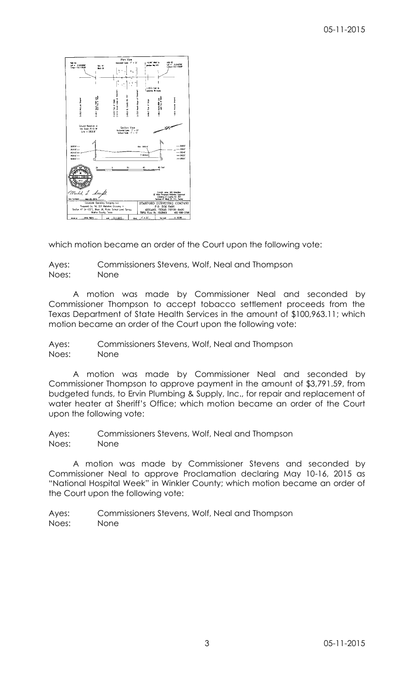

which motion became an order of the Court upon the following vote:

Ayes: Commissioners Stevens, Wolf, Neal and Thompson Noes: None

A motion was made by Commissioner Neal and seconded by Commissioner Thompson to accept tobacco settlement proceeds from the Texas Department of State Health Services in the amount of \$100,963.11; which motion became an order of the Court upon the following vote:

Ayes: Commissioners Stevens, Wolf, Neal and Thompson Noes: None

A motion was made by Commissioner Neal and seconded by Commissioner Thompson to approve payment in the amount of \$3,791.59, from budgeted funds, to Ervin Plumbing & Supply, Inc., for repair and replacement of water heater at Sheriff's Office; which motion became an order of the Court upon the following vote:

Ayes: Commissioners Stevens, Wolf, Neal and Thompson Noes: None

A motion was made by Commissioner Stevens and seconded by Commissioner Neal to approve Proclamation declaring May 10-16, 2015 as "National Hospital Week" in Winkler County; which motion became an order of the Court upon the following vote:

Ayes: Commissioners Stevens, Wolf, Neal and Thompson Noes: None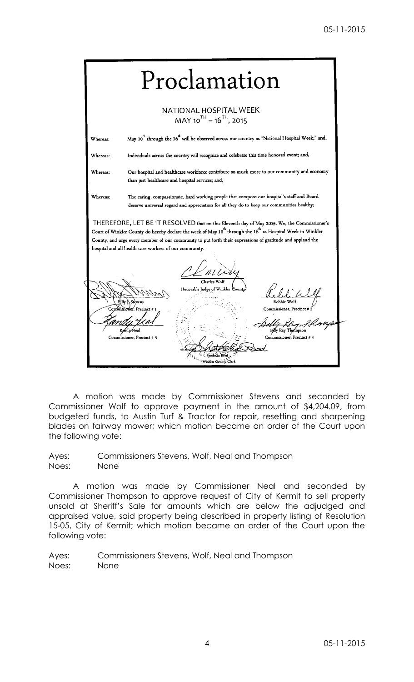| Proclamation                                                                                                                                                                                                                                                                                                                                                                                               |                                                                                                                                                                                                                                        |  |  |
|------------------------------------------------------------------------------------------------------------------------------------------------------------------------------------------------------------------------------------------------------------------------------------------------------------------------------------------------------------------------------------------------------------|----------------------------------------------------------------------------------------------------------------------------------------------------------------------------------------------------------------------------------------|--|--|
|                                                                                                                                                                                                                                                                                                                                                                                                            | NATIONAL HOSPITAL WEEK<br>$MAY 10^{TH} - 16^{TH}$ , 2015                                                                                                                                                                               |  |  |
| Whereas:                                                                                                                                                                                                                                                                                                                                                                                                   | May $10^{\text{th}}$ through the $16^{\text{th}}$ will be observed across our country as "National Hospital Week;" and,                                                                                                                |  |  |
| Whereas:                                                                                                                                                                                                                                                                                                                                                                                                   | Individuals across the country will recognize and celebrate this time honored event; and,                                                                                                                                              |  |  |
| Our hospital and healthcare workforce contribute so much more to our community and economy<br>Whereas:<br>than just healthcare and hospital services; and,                                                                                                                                                                                                                                                 |                                                                                                                                                                                                                                        |  |  |
| Whereas:                                                                                                                                                                                                                                                                                                                                                                                                   | The caring, compassionate, hard working people that compose our hospital's staff and Board<br>deserve universal regard and appreciation for all they do to keep our communities healthy;                                               |  |  |
| THEREFORE, LET BE IT RESOLVED that on this Eleventh day of May 2015, We, the Commissioner's<br>Court of Winkler County do hereby declare the week of May 10 <sup>th</sup> through the 16 <sup>th</sup> as Hospital Week in Winkler<br>County, and urge every member of our community to put forth their expressions of gratitude and applaud the<br>hospital and all health care workers of our community. |                                                                                                                                                                                                                                        |  |  |
|                                                                                                                                                                                                                                                                                                                                                                                                            | Charles Wolf<br>Honorable Judge of Winkler County<br>Robbie Wolf<br>Commissioner. Precinct # 1<br>Commissioner, Precinct # 2<br>Billy Ray Thempson<br>Commissioner, Precinct # 4<br>Commissioner, Precinct # 3<br>Winkler County Clerk |  |  |

A motion was made by Commissioner Stevens and seconded by Commissioner Wolf to approve payment in the amount of \$4,204.09, from budgeted funds, to Austin Turf & Tractor for repair, resetting and sharpening blades on fairway mower; which motion became an order of the Court upon the following vote:

Ayes: Commissioners Stevens, Wolf, Neal and Thompson Noes: None

A motion was made by Commissioner Neal and seconded by Commissioner Thompson to approve request of City of Kermit to sell property unsold at Sheriff's Sale for amounts which are below the adjudged and appraised value, said property being described in property listing of Resolution 15-05, City of Kermit; which motion became an order of the Court upon the following vote:

Ayes: Commissioners Stevens, Wolf, Neal and Thompson Noes: None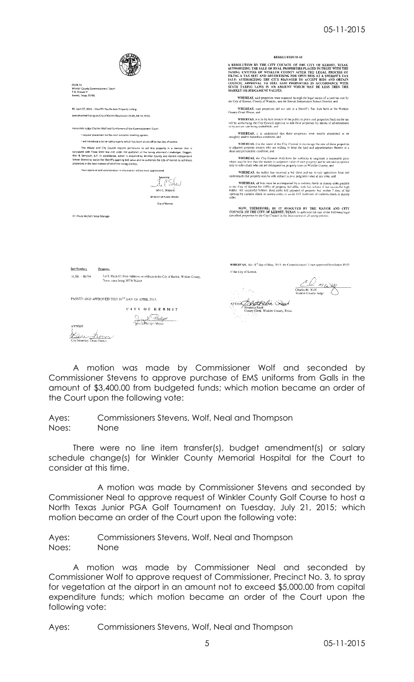# 05-11-2015

|                                                                                                                                                                                                                                                                                                                                                                                                                                                                                                                                                                                | <b>RESOLUTION 15-05</b>                                                                                                                                                                                                                                                                                                                                                                                                                                                                                          |  |  |
|--------------------------------------------------------------------------------------------------------------------------------------------------------------------------------------------------------------------------------------------------------------------------------------------------------------------------------------------------------------------------------------------------------------------------------------------------------------------------------------------------------------------------------------------------------------------------------|------------------------------------------------------------------------------------------------------------------------------------------------------------------------------------------------------------------------------------------------------------------------------------------------------------------------------------------------------------------------------------------------------------------------------------------------------------------------------------------------------------------|--|--|
| 05-04-15<br>Winkler County Commissioners' Court<br>P.O. Drawer Y                                                                                                                                                                                                                                                                                                                                                                                                                                                                                                               | A RESOLUTION BY THE CITY COUNCIL OF THE CITY OF KERMIT, TEXAS,<br>AUTHORIZING THE SALE OF REAL PROPERTIES PLACED IN TRUST WITH THE<br>TAXING ENTITUES OF WINKLER COUNTY AFTER THE LEGAL PROCESS OF<br>FILING A TAX SUIT AND ADVERTISING FOR OPEN BIOS AT A SHERIFF'S TAX<br>SALE: AUTHORIZING THE CITY MANAGER TO ACCEPT BIDS AND OBTAIN<br>COUNCIL APPROVAL TO SELL SAID PROPERTIES IN ACCORDANCE WITH<br>STATE TAXING LAWS IN AN AMOUNT WHICH MAY BE LESS THEN THE<br>MARKET OR JUDGEMENT VALUES.              |  |  |
| Kermit, Texas 79745                                                                                                                                                                                                                                                                                                                                                                                                                                                                                                                                                            | WHEREAS, said properties were acquired through the legal means of a joint tax suit by<br>the City of Kermit, County of Winkler, and the Kermit Independent School District; and                                                                                                                                                                                                                                                                                                                                  |  |  |
| RE: April 07, 2015 - Sheriff's Tax Re-Sale Property Listing<br>(see attached listing on City of Kermit Resolution 15-05, 04-16.2015).                                                                                                                                                                                                                                                                                                                                                                                                                                          | WHEREAS, said properties did not sell at a Sheriff's Tax Saie held at the Winkler<br>County Court House; and<br>WHEREAS, it is in the best interest of the public to place said properties back on the tax                                                                                                                                                                                                                                                                                                       |  |  |
| Honorable Judge Charles Wolf and Gentlemen of the Commissioners' Court:                                                                                                                                                                                                                                                                                                                                                                                                                                                                                                        | roll by authorizing the City Council approval to sell these properties by means of advertisement.<br>or by private sale being sealed bids: and                                                                                                                                                                                                                                                                                                                                                                   |  |  |
| I request placement on the next available meeting agenda.                                                                                                                                                                                                                                                                                                                                                                                                                                                                                                                      | WHEREAS, it is understood that these properties were mostly abandoned in an<br>unsightly and/or hazardous condition; and                                                                                                                                                                                                                                                                                                                                                                                         |  |  |
| ! will introduce a tax re-sale property which has been struck off to the City of Kermit.<br>The Mayor and City Council request permission to sell this property in a manner that is<br>consistent with Texas State law and under the guidance of the taxing attorney's Linebarger, Goggan,<br>Blair & Sampson, LLP. In accordance, action is required by Winkler County and Kermit Independent<br>School District to waive the Sheriff's opening bid value and to authorize the City of Kermit to sell these<br>properties in the best interest of all of the taxing entities. | WHEREAS, it is the intent of the City Council to encourage the sale of these properties<br>to adjacent property owners who are willing to keep the land and appurtenances thereor, in a<br>clean and presentable condition; and<br>WHEREAS, the City Council shall have the authority to negotiate a reasonable price<br>which may be less than the market or judgment value of each property and to sell said properties<br>only to individuals who are not delinquent on property taxes in Winkler County, and |  |  |
| Your approval and consideration in this matter will be most appreciated.                                                                                                                                                                                                                                                                                                                                                                                                                                                                                                       | WHEREAS, the bidder has received a bid sheet and tax re-sale agreement form and                                                                                                                                                                                                                                                                                                                                                                                                                                  |  |  |
| uacerely<br>John C. Shepard<br>Director of Public Works                                                                                                                                                                                                                                                                                                                                                                                                                                                                                                                        | understands that property may be sold subject to post judgment value at any time; and<br>WHEREAS, all bids must be accompanied by a cashiers check or money order payable<br>to the City of Kermit for (10%) of property bid offer, with full refund if not successful high<br>bidder. All successful hidders shall make full payment of property bid, within 7 days of bid<br>opening by cashiers check or money order, to avoid 10% forfeiture of cashiers check or money<br>order.                            |  |  |
| City of Kermit<br>CC: Paula Michel / Area Manager                                                                                                                                                                                                                                                                                                                                                                                                                                                                                                                              | NOW, THEREFORE; BE IT RESOLVED BY THE MAYOR AND CITY<br>COUNCIL OF THE CITY OF KERMIT, TEXAS, to authorize the sale of the following legal<br>described properties by the City Council in the best interest of all taxing entities:                                                                                                                                                                                                                                                                              |  |  |
| <b>Suit Number:</b><br>Peoperty:                                                                                                                                                                                                                                                                                                                                                                                                                                                                                                                                               | WHEREAS, this 11th day of May, 2015, the Commissioners' Court approved Resolution 15-05                                                                                                                                                                                                                                                                                                                                                                                                                          |  |  |
|                                                                                                                                                                                                                                                                                                                                                                                                                                                                                                                                                                                | of the City of Kennit.                                                                                                                                                                                                                                                                                                                                                                                                                                                                                           |  |  |
| Lot 8. Block 85. First Addition, an addition to the City of Kermit. Winkler County,<br>16.501 - R8798<br>Texas, same being 307 N Walnot                                                                                                                                                                                                                                                                                                                                                                                                                                        | Charles M. Wolf<br>Winkler County Judge                                                                                                                                                                                                                                                                                                                                                                                                                                                                          |  |  |
| PASSED AND APPROVED THIS 16 <sup>18</sup> DAY OF APRIL 2015.                                                                                                                                                                                                                                                                                                                                                                                                                                                                                                                   |                                                                                                                                                                                                                                                                                                                                                                                                                                                                                                                  |  |  |
| <b>CITY OF KERMIT</b>                                                                                                                                                                                                                                                                                                                                                                                                                                                                                                                                                          | Sheibelia Reed<br>County Clerk, Winkler County, Texas                                                                                                                                                                                                                                                                                                                                                                                                                                                            |  |  |
| Secretary, Diana Franc                                                                                                                                                                                                                                                                                                                                                                                                                                                                                                                                                         |                                                                                                                                                                                                                                                                                                                                                                                                                                                                                                                  |  |  |

A motion was made by Commissioner Wolf and seconded by Commissioner Stevens to approve purchase of EMS uniforms from Galls in the amount of \$3,400.00 from budgeted funds; which motion became an order of the Court upon the following vote:

Ayes: Commissioners Stevens, Wolf, Neal and Thompson Noes: None

There were no line item transfer(s), budget amendment(s) or salary schedule change(s) for Winkler County Memorial Hospital for the Court to consider at this time.

A motion was made by Commissioner Stevens and seconded by Commissioner Neal to approve request of Winkler County Golf Course to host a North Texas Junior PGA Golf Tournament on Tuesday, July 21, 2015; which motion became an order of the Court upon the following vote:

Ayes: Commissioners Stevens, Wolf, Neal and Thompson Noes: None

A motion was made by Commissioner Neal and seconded by Commissioner Wolf to approve request of Commissioner, Precinct No. 3, to spray for vegetation at the airport in an amount not to exceed \$5,000.00 from capital expenditure funds; which motion became an order of the Court upon the following vote:

Ayes: Commissioners Stevens, Wolf, Neal and Thompson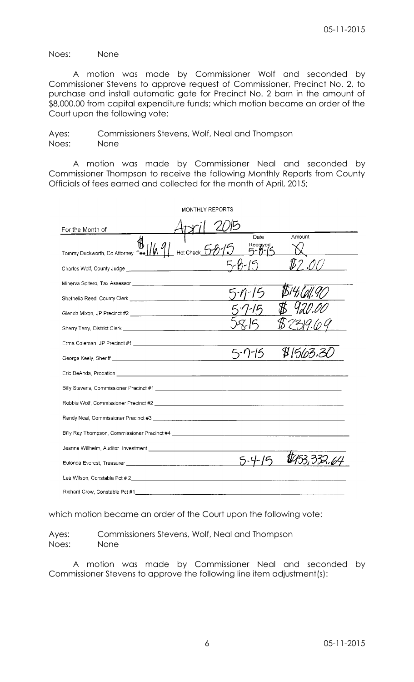### Noes: None

A motion was made by Commissioner Wolf and seconded by Commissioner Stevens to approve request of Commissioner, Precinct No. 2, to purchase and install automatic gate for Precinct No. 2 barn in the amount of \$8,000.00 from capital expenditure funds; which motion became an order of the Court upon the following vote:

| Ayes: | Commissioners Stevens, Wolf, Neal and Thompson |
|-------|------------------------------------------------|
| Noes: | None                                           |

A motion was made by Commissioner Neal and seconded by Commissioner Thompson to receive the following Monthly Reports from County Officials of fees earned and collected for the month of April, 2015;

| <b>MONTHLY REPORTS</b>                                                                                                                                                                                                        |  |
|-------------------------------------------------------------------------------------------------------------------------------------------------------------------------------------------------------------------------------|--|
| For the Month of                                                                                                                                                                                                              |  |
| Amount<br>Date<br>Tommy Duckworth, Co Attorney Fee 1/6, 91 Hot Check 5-8-15<br>Received<br>5-0-15                                                                                                                             |  |
| \$2.OO                                                                                                                                                                                                                        |  |
|                                                                                                                                                                                                                               |  |
|                                                                                                                                                                                                                               |  |
|                                                                                                                                                                                                                               |  |
|                                                                                                                                                                                                                               |  |
|                                                                                                                                                                                                                               |  |
| \$1563.3<br>$5 - 7 - 15$                                                                                                                                                                                                      |  |
| Eric DeAnda, Probation and Contract and Contract and Contract and Contract and Contract and Contract and Contract and                                                                                                         |  |
|                                                                                                                                                                                                                               |  |
|                                                                                                                                                                                                                               |  |
|                                                                                                                                                                                                                               |  |
| Billy Ray Thompson, Commissioner Precinct #4                                                                                                                                                                                  |  |
|                                                                                                                                                                                                                               |  |
|                                                                                                                                                                                                                               |  |
| Lee Wilson, Constable Pct # 2 and 2 and 2 and 2 and 2 and 2 and 2 and 2 and 2 and 2 and 2 and 2 and 2 and 2 and 2 and 2 and 2 and 2 and 2 and 2 and 2 and 2 and 2 and 2 and 2 and 2 and 2 and 2 and 2 and 2 and 2 and 2 and 2 |  |
| Richard Crow, Constable Pct #1                                                                                                                                                                                                |  |

which motion became an order of the Court upon the following vote:

Ayes: Commissioners Stevens, Wolf, Neal and Thompson Noes: None

A motion was made by Commissioner Neal and seconded by Commissioner Stevens to approve the following line item adjustment(s):